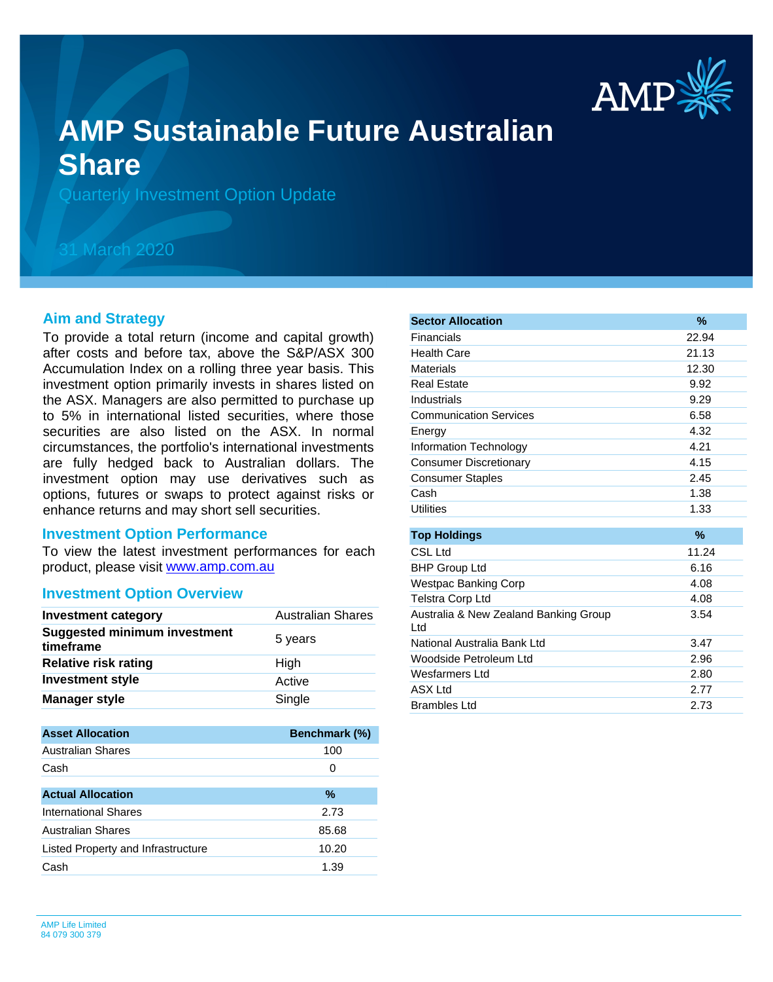

# **AMP Sustainable Future Australian Share**

Quarterly Investment Option Update

## 31 March 2020

## **Aim and Strategy**

To provide a total return (income and capital growth) after costs and before tax, above the S&P/ASX 300 Accumulation Index on a rolling three year basis. This investment option primarily invests in shares listed on the ASX. Managers are also permitted to purchase up to 5% in international listed securities, where those securities are also listed on the ASX. In normal circumstances, the portfolio's international investments are fully hedged back to Australian dollars. The investment option may use derivatives such as options, futures or swaps to protect against risks or enhance returns and may short sell securities.

#### **Investment Option Performance**

product, please visit [www.amp.com.au](https://www.amp.com.au) To view the latest investment performances for each

#### **Investment Option Overview**

| <b>Investment category</b>                       | <b>Australian Shares</b> |
|--------------------------------------------------|--------------------------|
| <b>Suggested minimum investment</b><br>timeframe | 5 years                  |
| <b>Relative risk rating</b>                      | High                     |
| <b>Investment style</b>                          | Active                   |
| <b>Manager style</b>                             | Single                   |

| <b>Asset Allocation</b>            | <b>Benchmark (%)</b> |
|------------------------------------|----------------------|
| <b>Australian Shares</b>           | 100                  |
| Cash                               | 0                    |
|                                    |                      |
| <b>Actual Allocation</b>           | %                    |
| International Shares               | 2.73                 |
| <b>Australian Shares</b>           | 85.68                |
| Listed Property and Infrastructure | 10.20                |
| Cash                               | 1.39                 |

| <b>Sector Allocation</b>                      | $\%$  |
|-----------------------------------------------|-------|
| Financials                                    | 22.94 |
| Health Care                                   | 21.13 |
| Materials                                     | 12.30 |
| <b>Real Estate</b>                            | 9.92  |
| Industrials                                   | 9.29  |
| <b>Communication Services</b>                 | 6.58  |
| Energy                                        | 4.32  |
| Information Technology                        | 4.21  |
| <b>Consumer Discretionary</b>                 | 4.15  |
| <b>Consumer Staples</b>                       | 2.45  |
| Cash                                          | 1.38  |
| <b>Utilities</b>                              | 1.33  |
|                                               |       |
| <b>Top Holdings</b>                           | %     |
| <b>CSL Ltd</b>                                | 11.24 |
| <b>BHP Group Ltd</b>                          | 6.16  |
| <b>Westpac Banking Corp</b>                   | 4.08  |
| Telstra Corp Ltd                              | 4.08  |
| Australia & New Zealand Banking Group<br>ht I | 3.54  |
| National Australia Bank Ltd                   | 3.47  |
| Woodside Petroleum Ltd                        | 2.96  |
| Wesfarmers Ltd                                | 2.80  |
| <b>ASX Ltd</b>                                | 2.77  |
| <b>Brambles Ltd</b>                           | 2.73  |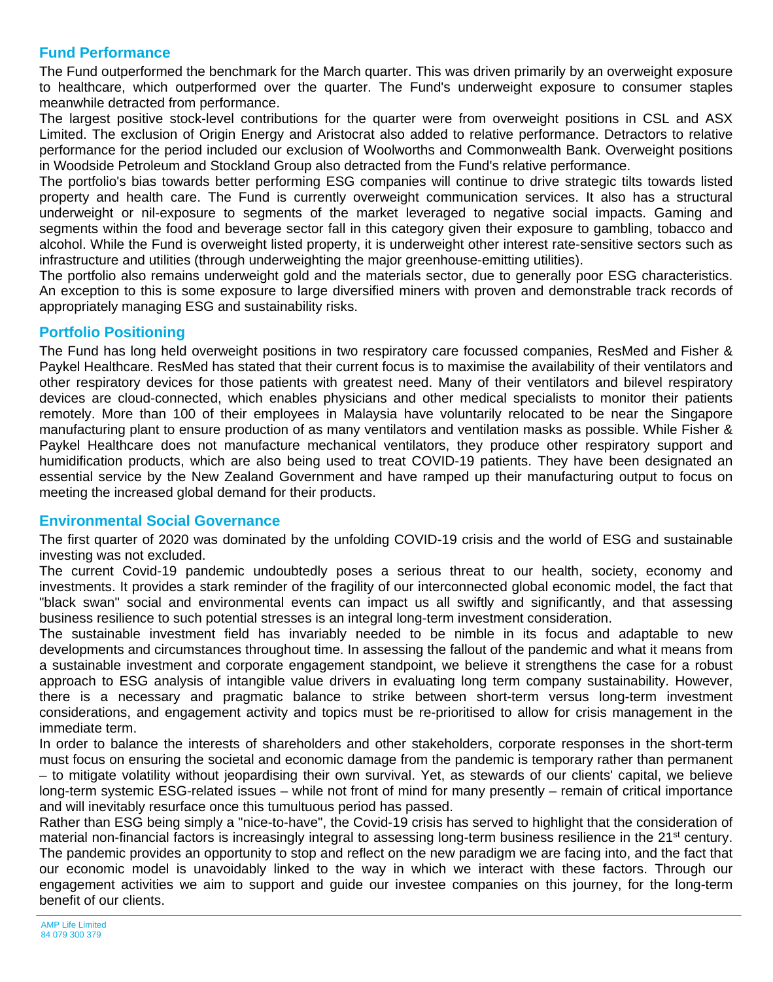## **Fund Performance**

The Fund outperformed the benchmark for the March quarter. This was driven primarily by an overweight exposure to healthcare, which outperformed over the quarter. The Fund's underweight exposure to consumer staples meanwhile detracted from performance.

The largest positive stock-level contributions for the quarter were from overweight positions in CSL and ASX Limited. The exclusion of Origin Energy and Aristocrat also added to relative performance. Detractors to relative performance for the period included our exclusion of Woolworths and Commonwealth Bank. Overweight positions in Woodside Petroleum and Stockland Group also detracted from the Fund's relative performance.

The portfolio's bias towards better performing ESG companies will continue to drive strategic tilts towards listed property and health care. The Fund is currently overweight communication services. It also has a structural underweight or nil-exposure to segments of the market leveraged to negative social impacts. Gaming and segments within the food and beverage sector fall in this category given their exposure to gambling, tobacco and alcohol. While the Fund is overweight listed property, it is underweight other interest rate-sensitive sectors such as infrastructure and utilities (through underweighting the major greenhouse-emitting utilities).

The portfolio also remains underweight gold and the materials sector, due to generally poor ESG characteristics. An exception to this is some exposure to large diversified miners with proven and demonstrable track records of appropriately managing ESG and sustainability risks.

## **Portfolio Positioning**

The Fund has long held overweight positions in two respiratory care focussed companies, ResMed and Fisher & Paykel Healthcare. ResMed has stated that their current focus is to maximise the availability of their ventilators and other respiratory devices for those patients with greatest need. Many of their ventilators and bilevel respiratory devices are cloud-connected, which enables physicians and other medical specialists to monitor their patients remotely. More than 100 of their employees in Malaysia have voluntarily relocated to be near the Singapore manufacturing plant to ensure production of as many ventilators and ventilation masks as possible. While Fisher & Paykel Healthcare does not manufacture mechanical ventilators, they produce other respiratory support and humidification products, which are also being used to treat COVID-19 patients. They have been designated an essential service by the New Zealand Government and have ramped up their manufacturing output to focus on meeting the increased global demand for their products.

## **Environmental Social Governance**

The first quarter of 2020 was dominated by the unfolding COVID-19 crisis and the world of ESG and sustainable investing was not excluded.

The current Covid-19 pandemic undoubtedly poses a serious threat to our health, society, economy and investments. It provides a stark reminder of the fragility of our interconnected global economic model, the fact that "black swan" social and environmental events can impact us all swiftly and significantly, and that assessing business resilience to such potential stresses is an integral long-term investment consideration.

The sustainable investment field has invariably needed to be nimble in its focus and adaptable to new developments and circumstances throughout time. In assessing the fallout of the pandemic and what it means from a sustainable investment and corporate engagement standpoint, we believe it strengthens the case for a robust approach to ESG analysis of intangible value drivers in evaluating long term company sustainability. However, there is a necessary and pragmatic balance to strike between short-term versus long-term investment considerations, and engagement activity and topics must be re-prioritised to allow for crisis management in the immediate term.

In order to balance the interests of shareholders and other stakeholders, corporate responses in the short-term must focus on ensuring the societal and economic damage from the pandemic is temporary rather than permanent – to mitigate volatility without jeopardising their own survival. Yet, as stewards of our clients' capital, we believe long-term systemic ESG-related issues – while not front of mind for many presently – remain of critical importance and will inevitably resurface once this tumultuous period has passed.

Rather than ESG being simply a "nice-to-have", the Covid-19 crisis has served to highlight that the consideration of material non-financial factors is increasingly integral to assessing long-term business resilience in the 21<sup>st</sup> century. The pandemic provides an opportunity to stop and reflect on the new paradigm we are facing into, and the fact that our economic model is unavoidably linked to the way in which we interact with these factors. Through our engagement activities we aim to support and guide our investee companies on this journey, for the long-term benefit of our clients.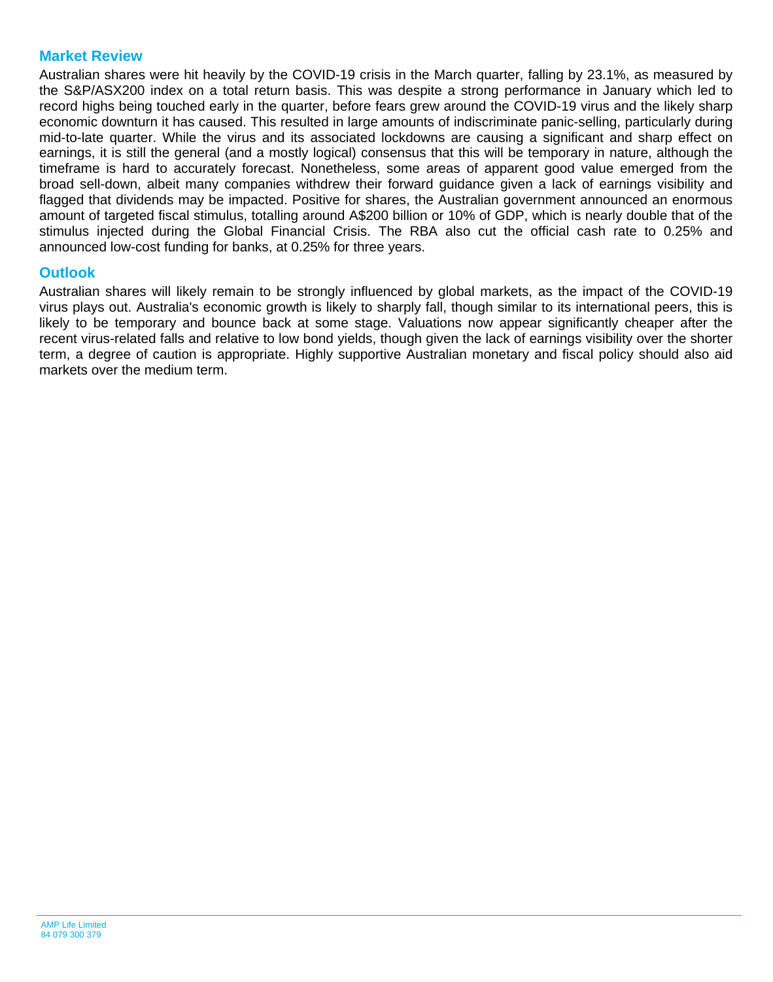## **Market Review**

Australian shares were hit heavily by the COVID-19 crisis in the March quarter, falling by 23.1%, as measured by the S&P/ASX200 index on a total return basis. This was despite a strong performance in January which led to record highs being touched early in the quarter, before fears grew around the COVID-19 virus and the likely sharp economic downturn it has caused. This resulted in large amounts of indiscriminate panic-selling, particularly during mid-to-late quarter. While the virus and its associated lockdowns are causing a significant and sharp effect on earnings, it is still the general (and a mostly logical) consensus that this will be temporary in nature, although the timeframe is hard to accurately forecast. Nonetheless, some areas of apparent good value emerged from the broad sell-down, albeit many companies withdrew their forward guidance given a lack of earnings visibility and flagged that dividends may be impacted. Positive for shares, the Australian government announced an enormous amount of targeted fiscal stimulus, totalling around A\$200 billion or 10% of GDP, which is nearly double that of the stimulus injected during the Global Financial Crisis. The RBA also cut the official cash rate to 0.25% and announced low-cost funding for banks, at 0.25% for three years.

### **Outlook**

Australian shares will likely remain to be strongly influenced by global markets, as the impact of the COVID-19 virus plays out. Australia's economic growth is likely to sharply fall, though similar to its international peers, this is likely to be temporary and bounce back at some stage. Valuations now appear significantly cheaper after the recent virus-related falls and relative to low bond yields, though given the lack of earnings visibility over the shorter term, a degree of caution is appropriate. Highly supportive Australian monetary and fiscal policy should also aid markets over the medium term.